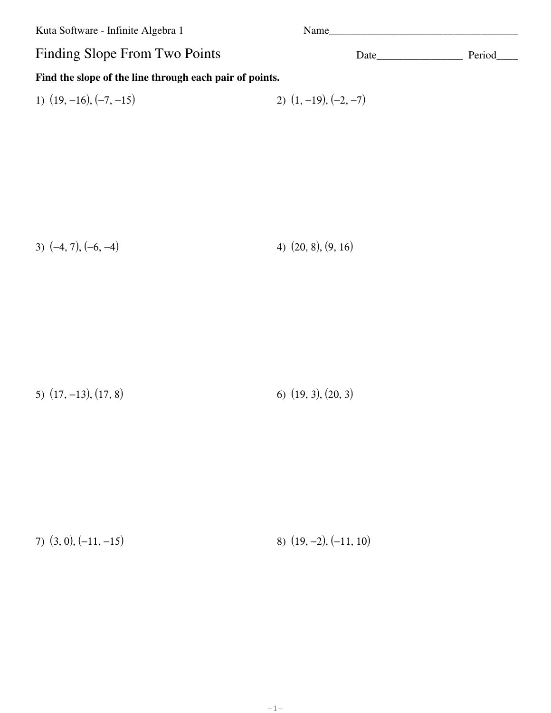Kuta Software - Infinite Algebra 1 Name\_\_\_\_\_\_\_\_\_\_\_\_\_\_\_\_\_\_\_\_\_\_\_\_\_\_\_\_\_\_\_\_\_\_\_

## Finding Slope From Two Points Date\_\_\_\_\_\_\_\_\_\_\_\_\_\_\_\_ Period\_\_\_\_

**Find the slope of the line through each pair of points.**

1) 
$$
(19, -16), (-7, -15)
$$
  
2)  $(1, -19), (-2, -7)$ 

3) (−4, 7), (−6, −4) 4) (20, 8), (9, 16)

5) (17, −13), (17, 8) 6) (19, 3), (20, 3)

7) (3, 0), (−11, −15) 8) (19, −2), (−11, 10)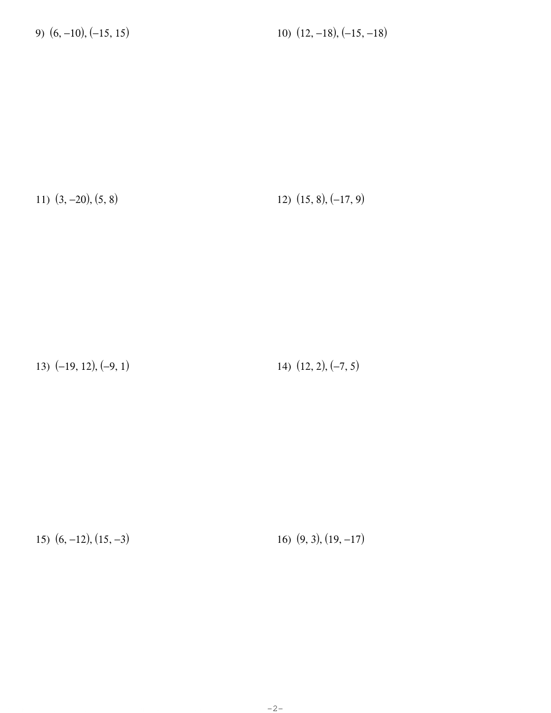11)  $(3, -20), (5, 8)$ 

12)  $(15, 8), (-17, 9)$ 

13)  $(-19, 12), (-9, 1)$ 

14)  $(12, 2), (-7, 5)$ 

15)  $(6, -12), (15, -3)$ 

16)  $(9, 3), (19, -17)$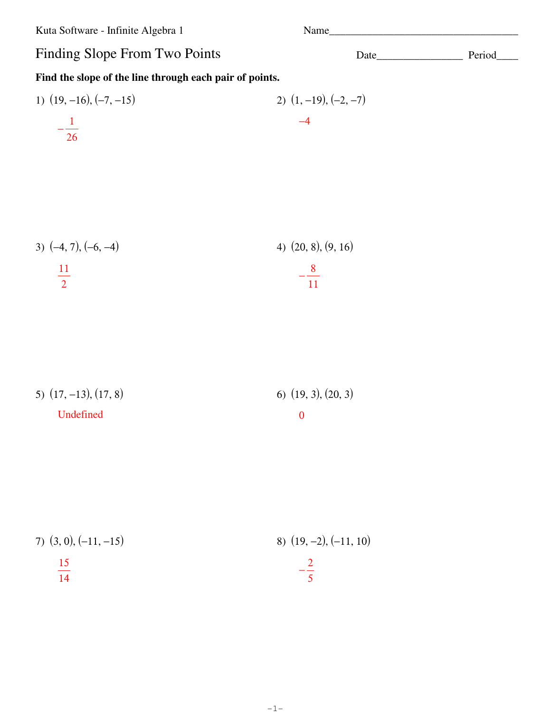## Kuta Software - Infinite Algebra 1 Name\_\_\_\_\_\_\_\_\_\_\_\_\_\_\_\_\_\_\_\_\_\_\_\_\_\_\_\_\_\_\_\_\_\_\_ Finding Slope From Two Points Date\_\_\_\_\_\_\_\_\_\_\_\_\_\_\_\_ Period\_\_\_\_ **Find the slope of the line through each pair of points.** 1) (19, −16), (−7, −15) − 1 26  $(1, -19), (-2, -7)$  $-4$ 3) (−4, 7), (−6, −4) 11 2 4) (20, 8), (9, 16) − 8 11 5) (17, −13), (17, 8) Undefined 6) (19, 3), (20, 3) 0 7) (3, 0), (−11, −15) 15 14 8) (19, −2), (−11, 10) − 2 5